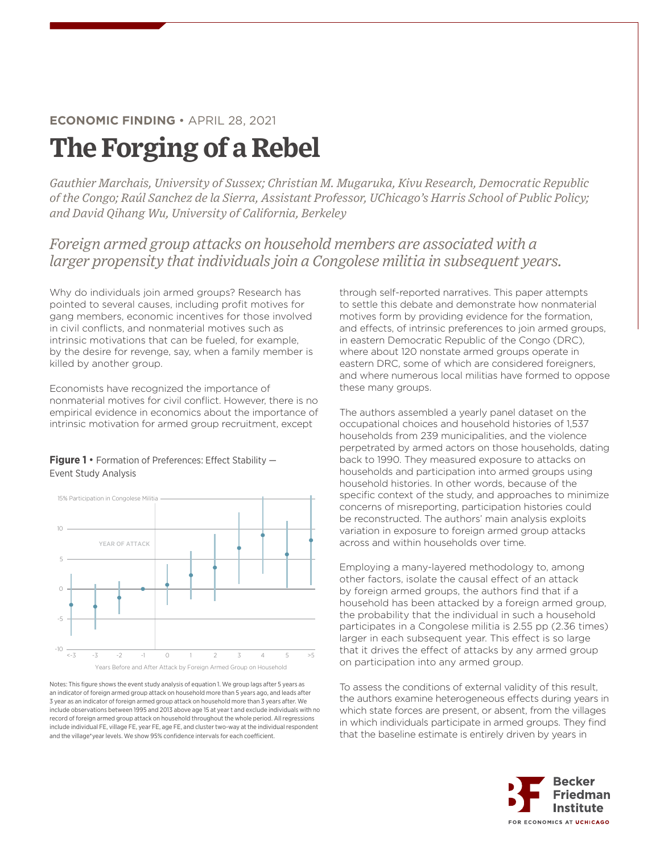## **ECONOMIC FINDING** • APRIL 28, 2021

## **The Forging of a Rebel**

*Gauthier Marchais, University of Sussex; Christian M. Mugaruka, Kivu Research, Democratic Republic of the Congo; Raúl Sanchez de la Sierra, Assistant Professor, UChicago's Harris School of Public Policy; and David Qihang Wu, University of California, Berkeley*

*Foreign armed group attacks on household members are associated with a larger propensity that individuals join a Congolese militia in subsequent years.*

Why do individuals join armed groups? Research has pointed to several causes, including profit motives for gang members, economic incentives for those involved in civil conflicts, and nonmaterial motives such as intrinsic motivations that can be fueled, for example, by the desire for revenge, say, when a family member is killed by another group.

Economists have recognized the importance of nonmaterial motives for civil conflict. However, there is no empirical evidence in economics about the importance of intrinsic motivation for armed group recruitment, except

**Figure 1** • Formation of Preferences: Effect Stability — Event Study Analysis



Notes: This figure shows the event study analysis of equation 1. We group lags Notes: This figure shows the event study analysis of equation 1. We group lags after 5 years as an indicator of foreign armed group attack on household more than 5 years ago, and leads after 3 year as an indicator of foreign armed group attack on household more than 3 years after. We include observations between 1995 and 2013 above age 15 at year t and exclude individuals with no record of foreign armed group attack on household throughout the whole period. All regressions include individual FE, village FE, year FE, age FE, and cluster two-way at the individual respondent and the village\*year levels. We show 95% confidence intervals for each coefficient.

through self-reported narratives. This paper attempts to settle this debate and demonstrate how nonmaterial motives form by providing evidence for the formation, and effects, of intrinsic preferences to join armed groups, in eastern Democratic Republic of the Congo (DRC), where about 120 nonstate armed groups operate in eastern DRC, some of which are considered foreigners, and where numerous local militias have formed to oppose these many groups.

The authors assembled a yearly panel dataset on the occupational choices and household histories of 1,537 households from 239 municipalities, and the violence perpetrated by armed actors on those households, dating back to 1990. They measured exposure to attacks on households and participation into armed groups using household histories. In other words, because of the specific context of the study, and approaches to minimize concerns of misreporting, participation histories could be reconstructed. The authors' main analysis exploits variation in exposure to foreign armed group attacks across and within households over time.

Employing a many-layered methodology to, among other factors, isolate the causal effect of an attack by foreign armed groups, the authors find that if a household has been attacked by a foreign armed group, the probability that the individual in such a household participates in a Congolese militia is 2.55 pp (2.36 times) larger in each subsequent year. This effect is so large that it drives the effect of attacks by any armed group on participation into any armed group.

To assess the conditions of external validity of this result, the authors examine heterogeneous effects during years in which state forces are present, or absent, from the villages in which individuals participate in armed groups. They find that the baseline estimate is entirely driven by years in